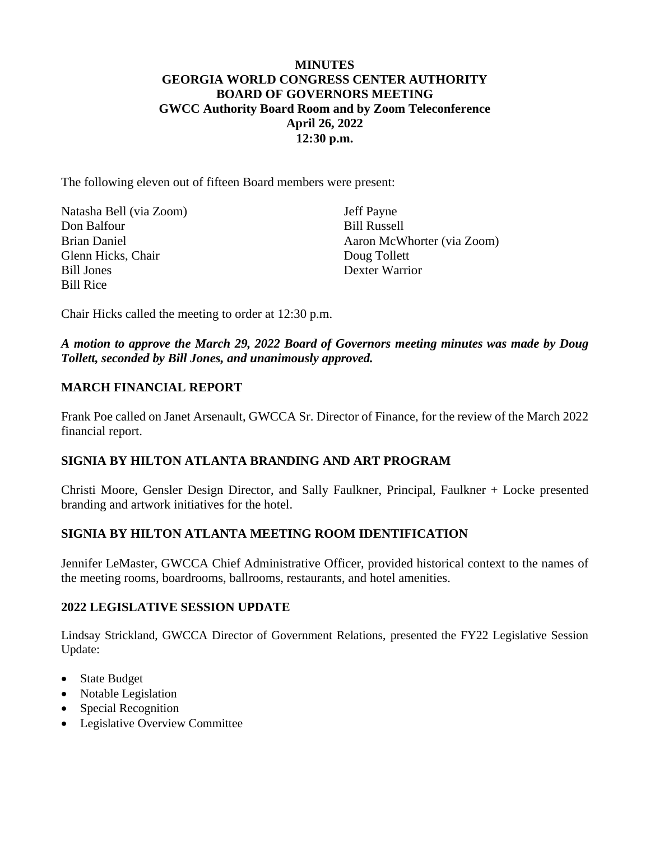## **MINUTES GEORGIA WORLD CONGRESS CENTER AUTHORITY BOARD OF GOVERNORS MEETING GWCC Authority Board Room and by Zoom Teleconference April 26, 2022 12:30 p.m.**

The following eleven out of fifteen Board members were present:

| Natasha Bell (via Zoom) | <b>Jeff Payne</b>          |
|-------------------------|----------------------------|
| Don Balfour             | <b>Bill Russell</b>        |
| Brian Daniel            | Aaron McWhorter (via Zoom) |
| Glenn Hicks, Chair      | Doug Tollett               |
| <b>Bill Jones</b>       | Dexter Warrior             |
| <b>Bill Rice</b>        |                            |

Chair Hicks called the meeting to order at 12:30 p.m.

### *A motion to approve the March 29, 2022 Board of Governors meeting minutes was made by Doug Tollett, seconded by Bill Jones, and unanimously approved.*

#### **MARCH FINANCIAL REPORT**

Frank Poe called on Janet Arsenault, GWCCA Sr. Director of Finance, for the review of the March 2022 financial report.

#### **SIGNIA BY HILTON ATLANTA BRANDING AND ART PROGRAM**

Christi Moore, Gensler Design Director, and Sally Faulkner, Principal, Faulkner + Locke presented branding and artwork initiatives for the hotel.

# **SIGNIA BY HILTON ATLANTA MEETING ROOM IDENTIFICATION**

Jennifer LeMaster, GWCCA Chief Administrative Officer, provided historical context to the names of the meeting rooms, boardrooms, ballrooms, restaurants, and hotel amenities.

#### **2022 LEGISLATIVE SESSION UPDATE**

Lindsay Strickland, GWCCA Director of Government Relations, presented the FY22 Legislative Session Update:

- State Budget
- Notable Legislation
- Special Recognition
- Legislative Overview Committee